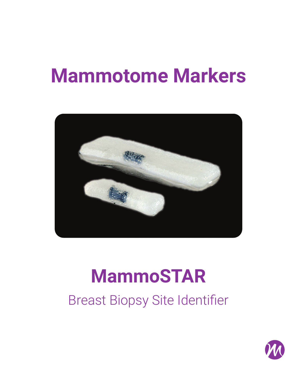# **Mammotome Markers**



# **MammoSTAR**

Breast Biopsy Site Identifier

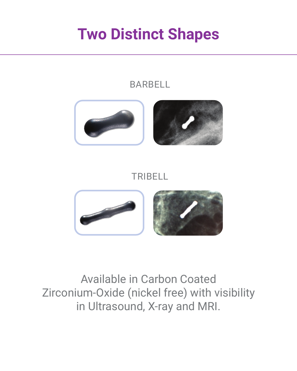### **Two Distinct Shapes**

#### **BARBELL**



#### TRIBELL



### Available in Carbon Coated Zirconium-Oxide (nickel free) with visibility in Ultrasound, X-ray and MRI.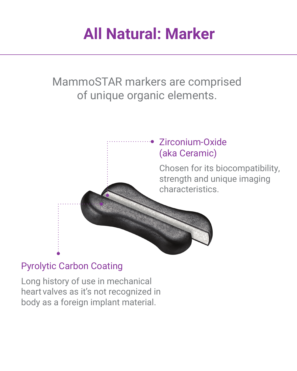## **All Natural: Marker**

MammoSTAR markers are comprised of unique organic elements.



#### Pyrolytic Carbon Coating

Long history of use in mechanical heart valves as it's not recognized in body as a foreign implant material.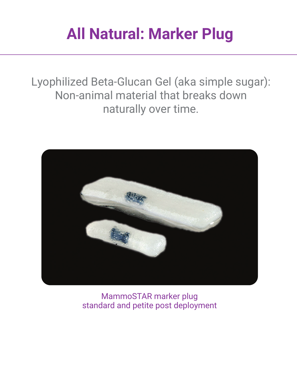## **All Natural: Marker Plug**

Lyophilized Beta-Glucan Gel (aka simple sugar): Non-animal material that breaks down naturally over time.



MammoSTAR marker plug standard and petite post deployment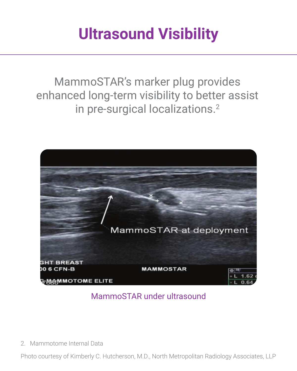## **Ultrasound Visibility**

MammoSTAR's marker plug provides enhanced long-term visibility to better assist in pre-surgical localizations.<sup>2</sup>



#### MammoSTAR under ultrasound

2. Mammotome Internal Data

Photo courtesy of Kimberly C. Hutcherson, M.D., North Metropolitan Radiology Associates, LLP